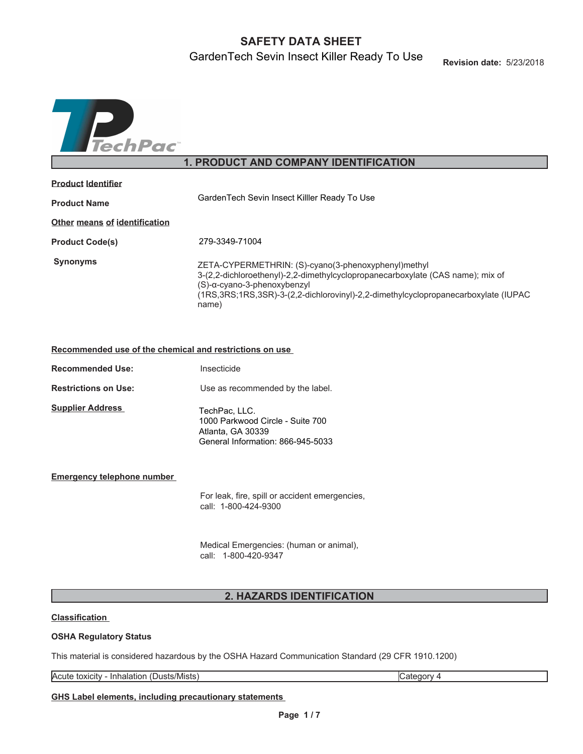# **SAFETY DATA SHEET**

GardenTech Sevin Insect Killer Ready To Use



# **1. PRODUCT AND COMPANY IDENTIFICATION**

| <b>Product Identifier</b>     |                                                                                                                                                                                                                                                                     |  |  |  |
|-------------------------------|---------------------------------------------------------------------------------------------------------------------------------------------------------------------------------------------------------------------------------------------------------------------|--|--|--|
| <b>Product Name</b>           | GardenTech Sevin Insect Killler Ready To Use                                                                                                                                                                                                                        |  |  |  |
| Other means of identification |                                                                                                                                                                                                                                                                     |  |  |  |
| <b>Product Code(s)</b>        | 279-3349-71004                                                                                                                                                                                                                                                      |  |  |  |
| <b>Synonyms</b>               | ZETA-CYPERMETHRIN: (S)-cyano(3-phenoxyphenyl)methyl<br>3-(2,2-dichloroethenyl)-2,2-dimethylcyclopropanecarboxylate (CAS name); mix of<br>(S)-α-cyano-3-phenoxybenzyl<br>(1RS,3RS;1RS,3SR)-3-(2,2-dichlorovinyl)-2,2-dimethylcyclopropanecarboxylate (IUPAC<br>name) |  |  |  |

### **Recommended use of the chemical and restrictions on use**

| <b>Recommended Use:</b>     | Insecticide                                                                                                 |
|-----------------------------|-------------------------------------------------------------------------------------------------------------|
| <b>Restrictions on Use:</b> | Use as recommended by the label.                                                                            |
| <b>Supplier Address</b>     | TechPac, LLC.<br>1000 Parkwood Circle - Suite 700<br>Atlanta, GA 30339<br>General Information: 866-945-5033 |

### **Emergency telephone number**

For leak, fire, spill or accident emergencies, call: 1-800-424-9300

Medical Emergencies: (human or animal), call: 1-800-420-9347

## **2. HAZARDS IDENTIFICATION**

### **Classification**

### **OSHA Regulatory Status**

This material is considered hazardous by the OSHA Hazard Communication Standard (29 CFR 1910.1200)

Acute toxicity - Inhalation (Dusts/Mists) Category 4

**GHS Label elements, including precautionary statements**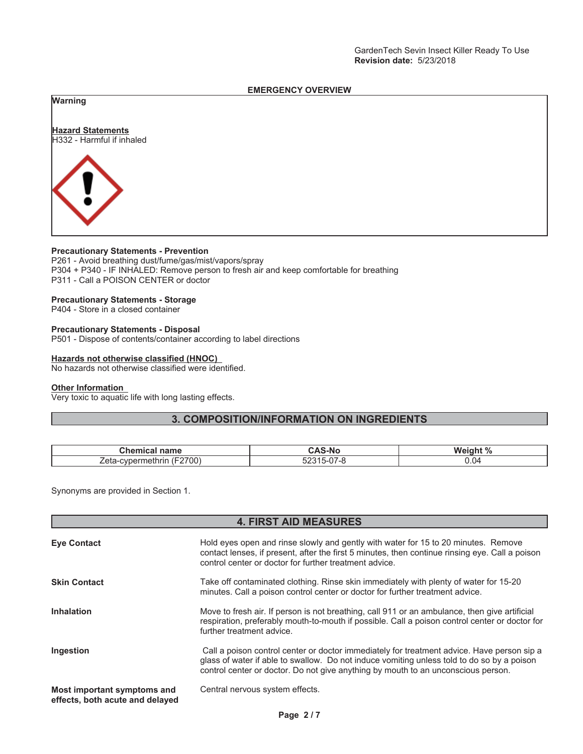### **EMERGENCY OVERVIEW**

### **Warning**



### **Precautionary Statements - Prevention**

P261 - Avoid breathing dust/fume/gas/mist/vapors/spray P304 + P340 - IF INHALED: Remove person to fresh air and keep comfortable for breathing P311 - Call a POISON CENTER or doctor

### **Precautionary Statements - Storage**

P404 - Store in a closed container

## **Precautionary Statements - Disposal**

P501 - Dispose of contents/container according to label directions

### **Hazards not otherwise classified (HNOC)**

No hazards not otherwise classified were identified.

### **Other Information**

Very toxic to aquatic life with long lasting effects.

## **3. COMPOSITION/INFORMATION ON INGREDIENTS**

| Chemi<br>name<br>. неат                                                 | . .<br>5-No                | $\sqrt{2}$<br>wc |
|-------------------------------------------------------------------------|----------------------------|------------------|
| 'F2700)<br>Zeta<br>----<br>$\sim$ $\sim$ $\sim$ $\sim$<br>JD⊖.<br>neumm | - ^ '<br>$\sim$<br>.<br>JZ | J.04             |

Synonyms are provided in Section 1.

## **4. FIRST AID MEASURES**

| <b>Eve Contact</b>                                             | Hold eyes open and rinse slowly and gently with water for 15 to 20 minutes. Remove<br>contact lenses, if present, after the first 5 minutes, then continue rinsing eye. Call a poison<br>control center or doctor for further treatment advice.                               |  |  |
|----------------------------------------------------------------|-------------------------------------------------------------------------------------------------------------------------------------------------------------------------------------------------------------------------------------------------------------------------------|--|--|
| <b>Skin Contact</b>                                            | Take off contaminated clothing. Rinse skin immediately with plenty of water for 15-20<br>minutes. Call a poison control center or doctor for further treatment advice.                                                                                                        |  |  |
| <b>Inhalation</b>                                              | Move to fresh air. If person is not breathing, call 911 or an ambulance, then give artificial<br>respiration, preferably mouth-to-mouth if possible. Call a poison control center or doctor for<br>further treatment advice.                                                  |  |  |
| Ingestion                                                      | Call a poison control center or doctor immediately for treatment advice. Have person sip a<br>glass of water if able to swallow. Do not induce vomiting unless told to do so by a poison<br>control center or doctor. Do not give anything by mouth to an unconscious person. |  |  |
| Most important symptoms and<br>effects, both acute and delayed | Central nervous system effects.                                                                                                                                                                                                                                               |  |  |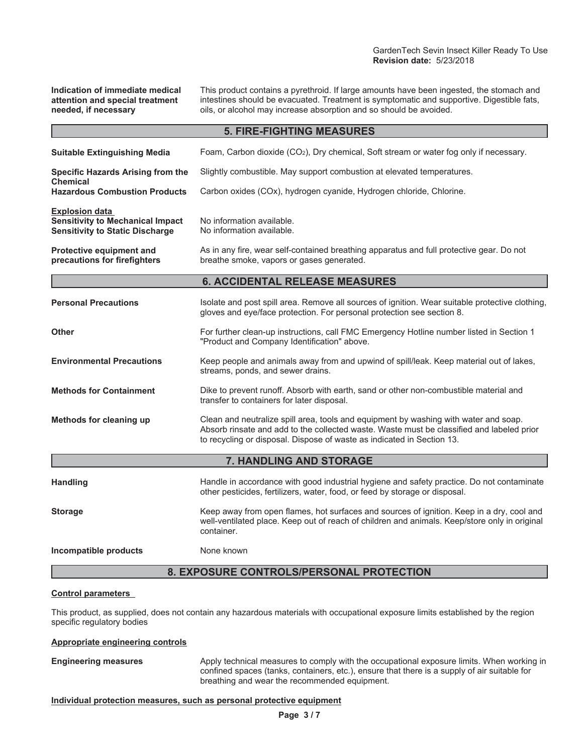**Indication of immediate medical attention and special treatment needed, if necessary**

This product contains a pyrethroid. If large amounts have been ingested, the stomach and intestines should be evacuated. Treatment is symptomatic and supportive. Digestible fats, oils, or alcohol may increase absorption and so should be avoided.

| <b>5. FIRE-FIGHTING MEASURES</b>                                                                           |                                                                                                                                                                                                                                                             |  |  |  |
|------------------------------------------------------------------------------------------------------------|-------------------------------------------------------------------------------------------------------------------------------------------------------------------------------------------------------------------------------------------------------------|--|--|--|
| <b>Suitable Extinguishing Media</b>                                                                        | Foam, Carbon dioxide (CO2), Dry chemical, Soft stream or water fog only if necessary.                                                                                                                                                                       |  |  |  |
| <b>Specific Hazards Arising from the</b><br><b>Chemical</b>                                                | Slightly combustible. May support combustion at elevated temperatures.                                                                                                                                                                                      |  |  |  |
| <b>Hazardous Combustion Products</b>                                                                       | Carbon oxides (COx), hydrogen cyanide, Hydrogen chloride, Chlorine.                                                                                                                                                                                         |  |  |  |
| <b>Explosion data</b><br><b>Sensitivity to Mechanical Impact</b><br><b>Sensitivity to Static Discharge</b> | No information available.<br>No information available.                                                                                                                                                                                                      |  |  |  |
| Protective equipment and<br>precautions for firefighters                                                   | As in any fire, wear self-contained breathing apparatus and full protective gear. Do not<br>breathe smoke, vapors or gases generated.                                                                                                                       |  |  |  |
|                                                                                                            | <b>6. ACCIDENTAL RELEASE MEASURES</b>                                                                                                                                                                                                                       |  |  |  |
| <b>Personal Precautions</b>                                                                                | Isolate and post spill area. Remove all sources of ignition. Wear suitable protective clothing,<br>gloves and eye/face protection. For personal protection see section 8.                                                                                   |  |  |  |
| <b>Other</b>                                                                                               | For further clean-up instructions, call FMC Emergency Hotline number listed in Section 1<br>"Product and Company Identification" above.                                                                                                                     |  |  |  |
| <b>Environmental Precautions</b>                                                                           | Keep people and animals away from and upwind of spill/leak. Keep material out of lakes,<br>streams, ponds, and sewer drains.                                                                                                                                |  |  |  |
| <b>Methods for Containment</b>                                                                             | Dike to prevent runoff. Absorb with earth, sand or other non-combustible material and<br>transfer to containers for later disposal.                                                                                                                         |  |  |  |
| Methods for cleaning up                                                                                    | Clean and neutralize spill area, tools and equipment by washing with water and soap.<br>Absorb rinsate and add to the collected waste. Waste must be classified and labeled prior<br>to recycling or disposal. Dispose of waste as indicated in Section 13. |  |  |  |
|                                                                                                            | 7. HANDLING AND STORAGE                                                                                                                                                                                                                                     |  |  |  |
| <b>Handling</b>                                                                                            | Handle in accordance with good industrial hygiene and safety practice. Do not contaminate<br>other pesticides, fertilizers, water, food, or feed by storage or disposal.                                                                                    |  |  |  |
| <b>Storage</b>                                                                                             | Keep away from open flames, hot surfaces and sources of ignition. Keep in a dry, cool and<br>well-ventilated place. Keep out of reach of children and animals. Keep/store only in original<br>container.                                                    |  |  |  |
| Incompatible products                                                                                      | None known                                                                                                                                                                                                                                                  |  |  |  |
| 8. EXPOSURE CONTROLS/PERSONAL PROTECTION                                                                   |                                                                                                                                                                                                                                                             |  |  |  |

### **Control parameters**

This product, as supplied, does not contain any hazardous materials with occupational exposure limits established by the region specific regulatory bodies

### **Appropriate engineering controls**

**Engineering measures** Apply technical measures to comply with the occupational exposure limits. When working in confined spaces (tanks, containers, etc.), ensure that there is a supply of air suitable for breathing and wear the recommended equipment.

### **Individual protection measures, such as personal protective equipment**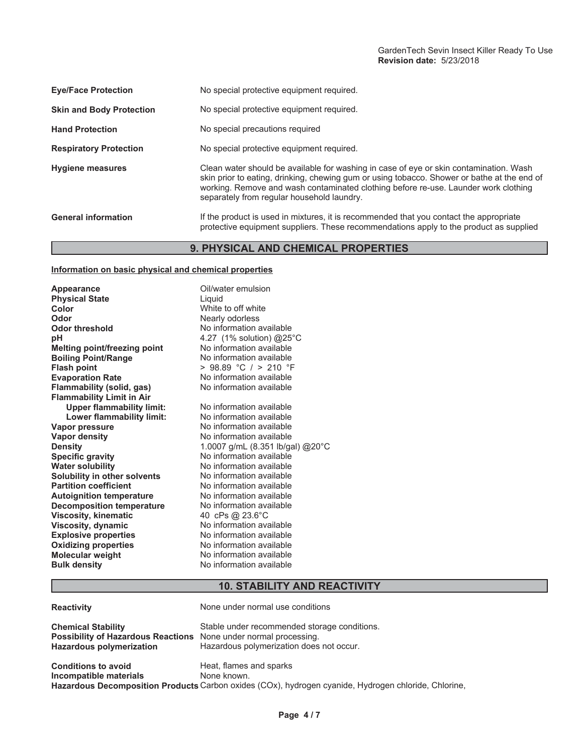| <b>Eve/Face Protection</b>      | No special protective equipment required.                                                                                                                                                                                                                                                                                  |  |  |
|---------------------------------|----------------------------------------------------------------------------------------------------------------------------------------------------------------------------------------------------------------------------------------------------------------------------------------------------------------------------|--|--|
| <b>Skin and Body Protection</b> | No special protective equipment required.                                                                                                                                                                                                                                                                                  |  |  |
| <b>Hand Protection</b>          | No special precautions required                                                                                                                                                                                                                                                                                            |  |  |
| <b>Respiratory Protection</b>   | No special protective equipment required.                                                                                                                                                                                                                                                                                  |  |  |
| <b>Hygiene measures</b>         | Clean water should be available for washing in case of eye or skin contamination. Wash<br>skin prior to eating, drinking, chewing gum or using tobacco. Shower or bathe at the end of<br>working. Remove and wash contaminated clothing before re-use. Launder work clothing<br>separately from regular household laundry. |  |  |
| <b>General information</b>      | If the product is used in mixtures, it is recommended that you contact the appropriate<br>protective equipment suppliers. These recommendations apply to the product as supplied                                                                                                                                           |  |  |

# **9. PHYSICAL AND CHEMICAL PROPERTIES**

### **Information on basic physical and chemical properties**

| <b>Appearance</b>                   | Oil/water emulsion               |
|-------------------------------------|----------------------------------|
| <b>Physical State</b>               | Liquid                           |
| Color                               | White to off white               |
| Odor                                | Nearly odorless                  |
| <b>Odor threshold</b>               | No information available         |
| рH                                  | 4.27 (1% solution) @25°C         |
| Melting point/freezing point        | No information available         |
| <b>Boiling Point/Range</b>          | No information available         |
| <b>Flash point</b>                  | > 98.89 °C / > 210 °F            |
| <b>Evaporation Rate</b>             | No information available         |
| <b>Flammability (solid, gas)</b>    | No information available         |
| <b>Flammability Limit in Air</b>    |                                  |
| <b>Upper flammability limit:</b>    | No information available         |
| Lower flammability limit:           | No information available         |
| Vapor pressure                      | No information available         |
| <b>Vapor density</b>                | No information available         |
| <b>Density</b>                      | 1.0007 g/mL (8.351 lb/gal) @20°C |
| <b>Specific gravity</b>             | No information available         |
| <b>Water solubility</b>             | No information available         |
| <b>Solubility in other solvents</b> | No information available         |
| <b>Partition coefficient</b>        | No information available         |
| <b>Autoignition temperature</b>     | No information available         |
| <b>Decomposition temperature</b>    | No information available         |
| <b>Viscosity, kinematic</b>         | 40 cPs @ 23.6°C                  |
| Viscosity, dynamic                  | No information available         |
| <b>Explosive properties</b>         | No information available         |
| <b>Oxidizing properties</b>         | No information available         |
| <b>Molecular weight</b>             | No information available         |
| <b>Bulk density</b>                 | No information available         |

# **10. STABILITY AND REACTIVITY**

| <b>Reactivity</b>                                                                                         | None under normal use conditions                                                                                                               |
|-----------------------------------------------------------------------------------------------------------|------------------------------------------------------------------------------------------------------------------------------------------------|
| <b>Chemical Stability</b><br><b>Possibility of Hazardous Reactions</b><br><b>Hazardous polymerization</b> | Stable under recommended storage conditions.<br>None under normal processing.<br>Hazardous polymerization does not occur.                      |
| <b>Conditions to avoid</b><br>Incompatible materials                                                      | Heat, flames and sparks<br>None known.<br>Hazardous Decomposition Products Carbon oxides (COx), hydrogen cyanide, Hydrogen chloride, Chlorine, |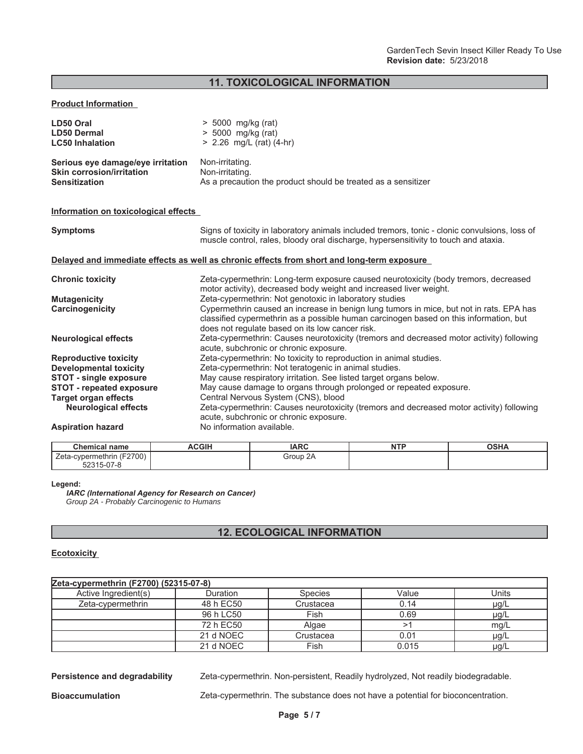**11. TOXICOLOGICAL INFORMATION**

### **Product Information**

| LD50 Oral                            | $> 5000$ mg/kg (rat)                                          |
|--------------------------------------|---------------------------------------------------------------|
| <b>LD50 Dermal</b>                   | $> 5000$ mg/kg (rat)                                          |
| <b>LC50 Inhalation</b>               | $> 2.26$ mg/L (rat) (4-hr)                                    |
| Serious eye damage/eye irritation    | Non-irritating.                                               |
| Skin corrosion/irritation            | Non-irritating.                                               |
| Sensitization                        | As a precaution the product should be treated as a sensitizer |
| Information on toxicological effects |                                                               |

| <b>Symptoms</b>                 | Signs of toxicity in laboratory animals included tremors, tonic - clonic convulsions, loss of<br>muscle control, rales, bloody oral discharge, hypersensitivity to touch and ataxia.                                                |  |  |
|---------------------------------|-------------------------------------------------------------------------------------------------------------------------------------------------------------------------------------------------------------------------------------|--|--|
|                                 | Delayed and immediate effects as well as chronic effects from short and long-term exposure                                                                                                                                          |  |  |
| <b>Chronic toxicity</b>         | Zeta-cypermethrin: Long-term exposure caused neurotoxicity (body tremors, decreased<br>motor activity), decreased body weight and increased liver weight.                                                                           |  |  |
| <b>Mutagenicity</b>             | Zeta-cypermethrin: Not genotoxic in laboratory studies                                                                                                                                                                              |  |  |
| Carcinogenicity                 | Cypermethrin caused an increase in benign lung tumors in mice, but not in rats. EPA has<br>classified cypermethrin as a possible human carcinogen based on this information, but<br>does not regulate based on its low cancer risk. |  |  |
| <b>Neurological effects</b>     | Zeta-cypermethrin: Causes neurotoxicity (tremors and decreased motor activity) following<br>acute, subchronic or chronic exposure.                                                                                                  |  |  |
| <b>Reproductive toxicity</b>    | Zeta-cypermethrin: No toxicity to reproduction in animal studies.                                                                                                                                                                   |  |  |
| <b>Developmental toxicity</b>   | Zeta-cypermethrin: Not teratogenic in animal studies.                                                                                                                                                                               |  |  |
| <b>STOT - single exposure</b>   | May cause respiratory irritation. See listed target organs below.                                                                                                                                                                   |  |  |
| <b>STOT - repeated exposure</b> | May cause damage to organs through prolonged or repeated exposure.                                                                                                                                                                  |  |  |
| Target organ effects            | Central Nervous System (CNS), blood                                                                                                                                                                                                 |  |  |
| <b>Neurological effects</b>     | Zeta-cypermethrin: Causes neurotoxicity (tremors and decreased motor activity) following<br>acute, subchronic or chronic exposure.                                                                                                  |  |  |
| <b>Aspiration hazard</b>        | No information available.                                                                                                                                                                                                           |  |  |

| Chemical<br>name                    | <b>ACGIH</b> | <b>IARC</b> | <b>NTD</b><br>14 L E | OCDA<br>א⊓ט |
|-------------------------------------|--------------|-------------|----------------------|-------------|
| (F2700)<br>cvpermethrin<br>∠eta-    |              | 2A<br>Group |                      |             |
| $\sqrt{2}$<br>. . ה-ר<br>$\prime -$ |              |             |                      |             |

### **Legend:**

**IARC (International Agency for Research on Cancer)** *Group 2A - Probably Carcinogenic to Humans*

## **12. ECOLOGICAL INFORMATION**

### **Ecotoxicity**

| Zeta-cypermethrin (F2700) (52315-07-8) |           |                |       |           |  |
|----------------------------------------|-----------|----------------|-------|-----------|--|
| Active Ingredient(s)                   | Duration  | <b>Species</b> | Value | Units     |  |
| Zeta-cypermethrin                      | 48 h EC50 | Crustacea      | 0.14  | $\mu$ g/L |  |
|                                        | 96 h LC50 | Fish           | 0.69  | µg/L      |  |
|                                        | 72 h EC50 | Algae          |       | mq/L      |  |
|                                        | 21 d NOEC | Crustacea      | 0.01  | µg/L      |  |
|                                        | 21 d NOEC | Fish           | 0.015 | µg/L      |  |

**Persistence and degradability** Zeta-cypermethrin. Non-persistent, Readily hydrolyzed, Not readily biodegradable.

**Bioaccumulation** Zeta-cypermethrin. The substance does not have a potential for bioconcentration.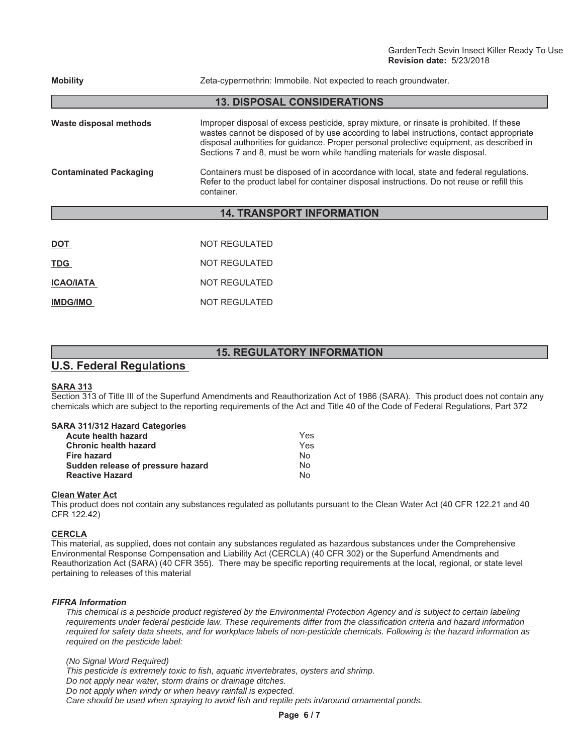| <b>Mobility</b>               | Zeta-cypermethrin: Immobile. Not expected to reach groundwater.                                                                                                                                                                                                                                                                                                 |  |  |  |
|-------------------------------|-----------------------------------------------------------------------------------------------------------------------------------------------------------------------------------------------------------------------------------------------------------------------------------------------------------------------------------------------------------------|--|--|--|
|                               | <b>13. DISPOSAL CONSIDERATIONS</b>                                                                                                                                                                                                                                                                                                                              |  |  |  |
| Waste disposal methods        | Improper disposal of excess pesticide, spray mixture, or rinsate is prohibited. If these<br>wastes cannot be disposed of by use according to label instructions, contact appropriate<br>disposal authorities for guidance. Proper personal protective equipment, as described in<br>Sections 7 and 8, must be worn while handling materials for waste disposal. |  |  |  |
| <b>Contaminated Packaging</b> | Containers must be disposed of in accordance with local, state and federal regulations.<br>Refer to the product label for container disposal instructions. Do not reuse or refill this<br>container.                                                                                                                                                            |  |  |  |
|                               | <b>14. TRANSPORT INFORMATION</b>                                                                                                                                                                                                                                                                                                                                |  |  |  |
|                               |                                                                                                                                                                                                                                                                                                                                                                 |  |  |  |
| <b>DOT</b>                    | <b>NOT REGULATED</b>                                                                                                                                                                                                                                                                                                                                            |  |  |  |
| TDG                           | NOT REGULATED                                                                                                                                                                                                                                                                                                                                                   |  |  |  |

| טשו              | 110111L99L1L9 |
|------------------|---------------|
| <b>ICAO/IATA</b> | NOT REGULATED |
| <b>IMDG/IMO</b>  | NOT REGULATED |

## **15. REGULATORY INFORMATION**

# **U.S. Federal Regulations**

## **SARA 313**

Section 313 of Title III of the Superfund Amendments and Reauthorization Act of 1986 (SARA). This product does not contain any chemicals which are subject to the reporting requirements of the Act and Title 40 of the Code of Federal Regulations, Part 372

### **SARA 311/312 Hazard Categories**

| Yes |
|-----|
| Yes |
| Nο  |
| No  |
| N٥  |
|     |

### **Clean Water Act**

This product does not contain any substances regulated as pollutants pursuant to the Clean Water Act (40 CFR 122.21 and 40 CFR 122.42)

### **CERCLA**

This material, as supplied, does not contain any substances regulated as hazardous substances under the Comprehensive Environmental Response Compensation and Liability Act (CERCLA) (40 CFR 302) or the Superfund Amendments and Reauthorization Act (SARA) (40 CFR 355). There may be specific reporting requirements at the local, regional, or state level pertaining to releases of this material

### **FIFRA Information**

*This chemical is a pesticide product registered by the Environmental Protection Agency and is subject to certain labeling requirements under federal pesticide law. These requirements differ from the classification criteria and hazard information required for safety data sheets, and for workplace labels of non-pesticide chemicals. Following is the hazard information as required on the pesticide label:*

*(No Signal Word Required)*

*This pesticide is extremely toxic to fish, aquatic invertebrates, oysters and shrimp.*

*Do not apply near water, storm drains or drainage ditches.*

*Do not apply when windy or when heavy rainfall is expected. Care should be used when spraying to avoid fish and reptile pets in/around ornamental ponds.*